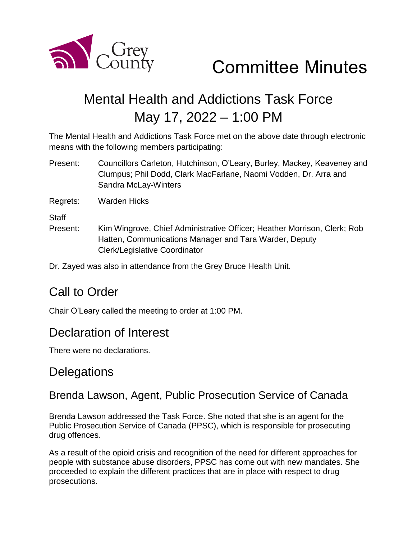

Committee Minutes

# Mental Health and Addictions Task Force May 17, 2022 – 1:00 PM

The Mental Health and Addictions Task Force met on the above date through electronic means with the following members participating:

Present: Councillors Carleton, Hutchinson, O'Leary, Burley, Mackey, Keaveney and Clumpus; Phil Dodd, Clark MacFarlane, Naomi Vodden, Dr. Arra and Sandra McLay-Winters

Regrets: Warden Hicks

**Staff** 

Present: Kim Wingrove, Chief Administrative Officer; Heather Morrison, Clerk; Rob Hatten, Communications Manager and Tara Warder, Deputy Clerk/Legislative Coordinator

Dr. Zayed was also in attendance from the Grey Bruce Health Unit.

### Call to Order

Chair O'Leary called the meeting to order at 1:00 PM.

### Declaration of Interest

There were no declarations.

### **Delegations**

#### Brenda Lawson, Agent, Public Prosecution Service of Canada

Brenda Lawson addressed the Task Force. She noted that she is an agent for the Public Prosecution Service of Canada (PPSC), which is responsible for prosecuting drug offences.

As a result of the opioid crisis and recognition of the need for different approaches for people with substance abuse disorders, PPSC has come out with new mandates. She proceeded to explain the different practices that are in place with respect to drug prosecutions.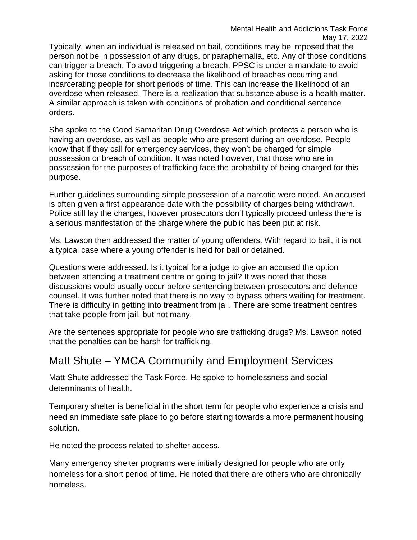Typically, when an individual is released on bail, conditions may be imposed that the person not be in possession of any drugs, or paraphernalia, etc. Any of those conditions can trigger a breach. To avoid triggering a breach, PPSC is under a mandate to avoid asking for those conditions to decrease the likelihood of breaches occurring and incarcerating people for short periods of time. This can increase the likelihood of an overdose when released. There is a realization that substance abuse is a health matter. A similar approach is taken with conditions of probation and conditional sentence orders.

She spoke to the Good Samaritan Drug Overdose Act which protects a person who is having an overdose, as well as people who are present during an overdose. People know that if they call for emergency services, they won't be charged for simple possession or breach of condition. It was noted however, that those who are in possession for the purposes of trafficking face the probability of being charged for this purpose.

Further guidelines surrounding simple possession of a narcotic were noted. An accused is often given a first appearance date with the possibility of charges being withdrawn. Police still lay the charges, however prosecutors don't typically proceed unless there is a serious manifestation of the charge where the public has been put at risk.

Ms. Lawson then addressed the matter of young offenders. With regard to bail, it is not a typical case where a young offender is held for bail or detained.

Questions were addressed. Is it typical for a judge to give an accused the option between attending a treatment centre or going to jail? It was noted that those discussions would usually occur before sentencing between prosecutors and defence counsel. It was further noted that there is no way to bypass others waiting for treatment. There is difficulty in getting into treatment from jail. There are some treatment centres that take people from jail, but not many.

Are the sentences appropriate for people who are trafficking drugs? Ms. Lawson noted that the penalties can be harsh for trafficking.

#### Matt Shute – YMCA Community and Employment Services

Matt Shute addressed the Task Force. He spoke to homelessness and social determinants of health.

Temporary shelter is beneficial in the short term for people who experience a crisis and need an immediate safe place to go before starting towards a more permanent housing solution.

He noted the process related to shelter access.

Many emergency shelter programs were initially designed for people who are only homeless for a short period of time. He noted that there are others who are chronically homeless.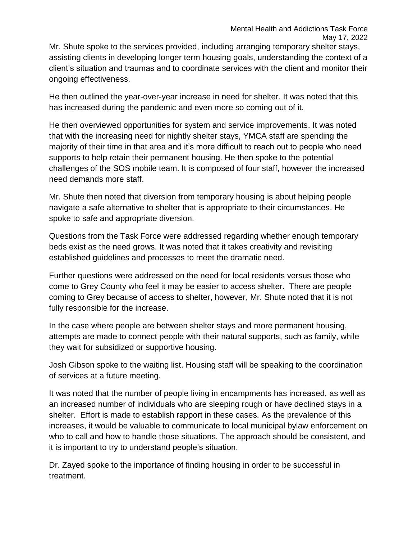Mr. Shute spoke to the services provided, including arranging temporary shelter stays, assisting clients in developing longer term housing goals, understanding the context of a client's situation and traumas and to coordinate services with the client and monitor their ongoing effectiveness.

He then outlined the year-over-year increase in need for shelter. It was noted that this has increased during the pandemic and even more so coming out of it.

He then overviewed opportunities for system and service improvements. It was noted that with the increasing need for nightly shelter stays, YMCA staff are spending the majority of their time in that area and it's more difficult to reach out to people who need supports to help retain their permanent housing. He then spoke to the potential challenges of the SOS mobile team. It is composed of four staff, however the increased need demands more staff.

Mr. Shute then noted that diversion from temporary housing is about helping people navigate a safe alternative to shelter that is appropriate to their circumstances. He spoke to safe and appropriate diversion.

Questions from the Task Force were addressed regarding whether enough temporary beds exist as the need grows. It was noted that it takes creativity and revisiting established guidelines and processes to meet the dramatic need.

Further questions were addressed on the need for local residents versus those who come to Grey County who feel it may be easier to access shelter. There are people coming to Grey because of access to shelter, however, Mr. Shute noted that it is not fully responsible for the increase.

In the case where people are between shelter stays and more permanent housing, attempts are made to connect people with their natural supports, such as family, while they wait for subsidized or supportive housing.

Josh Gibson spoke to the waiting list. Housing staff will be speaking to the coordination of services at a future meeting.

It was noted that the number of people living in encampments has increased, as well as an increased number of individuals who are sleeping rough or have declined stays in a shelter. Effort is made to establish rapport in these cases. As the prevalence of this increases, it would be valuable to communicate to local municipal bylaw enforcement on who to call and how to handle those situations. The approach should be consistent, and it is important to try to understand people's situation.

Dr. Zayed spoke to the importance of finding housing in order to be successful in treatment.